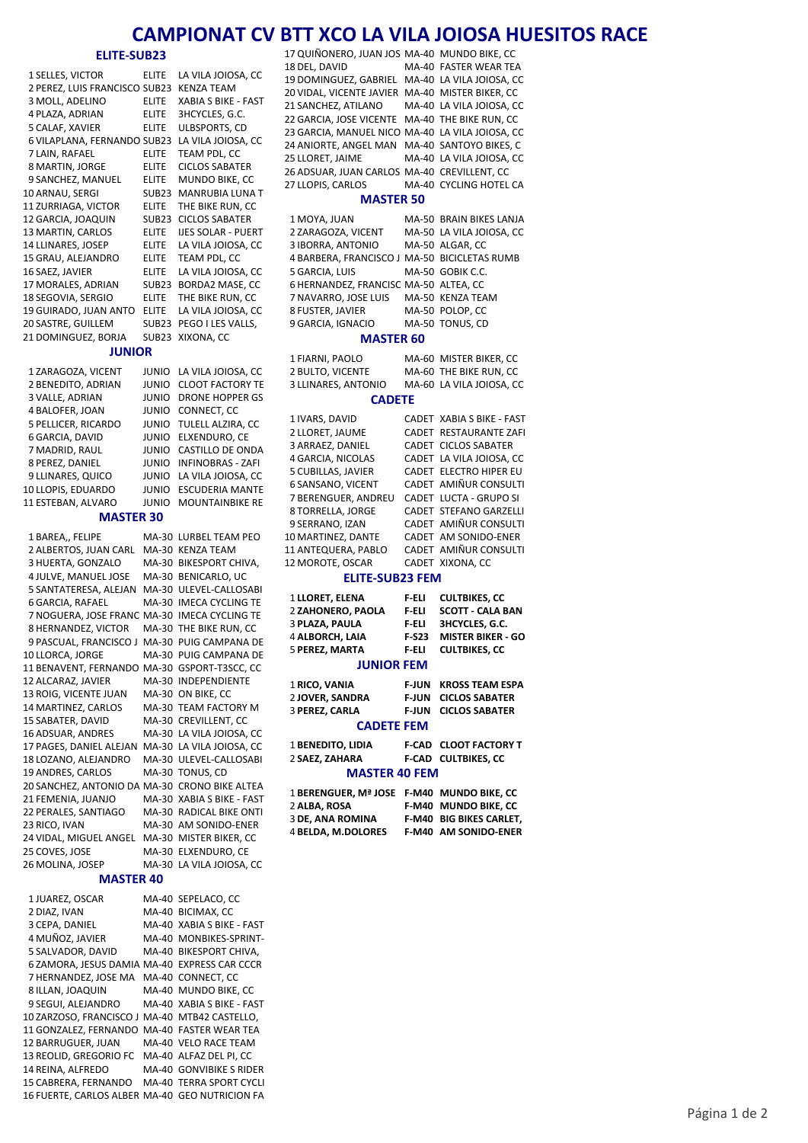## **CAMPIONAT CV BTT XCO LA VILA JOIOSA HUESITOS RACE**

### **ELITE‐SUB23**

| <b>ELITE-SUB23</b>                            |                              |                                          |  |  |  |  |  |  |  |
|-----------------------------------------------|------------------------------|------------------------------------------|--|--|--|--|--|--|--|
| 1 SELLES, VICTOR                              | <b>ELITE</b>                 | LA VILA JOIOSA, CC                       |  |  |  |  |  |  |  |
| 2 PEREZ, LUIS FRANCISCO SUB23                 |                              | KENZA TEAM                               |  |  |  |  |  |  |  |
| 3 MOLL, ADELINO                               | ELITE                        | XABIA S BIKE - FAST                      |  |  |  |  |  |  |  |
| 4 PLAZA, ADRIAN                               | <b>ELITE</b>                 | 3HCYCLES, G.C.                           |  |  |  |  |  |  |  |
| 5 CALAF, XAVIER                               | ELITE                        | ULBSPORTS, CD                            |  |  |  |  |  |  |  |
| 6 VILAPLANA, FERNANDO SUB23                   |                              | LA VILA JOIOSA, CC                       |  |  |  |  |  |  |  |
| 7 LAIN, RAFAEL                                | ELITE                        | TEAM PDL, CC                             |  |  |  |  |  |  |  |
| 8 MARTIN, JORGE                               | ELITE                        | <b>CICLOS SABATER</b>                    |  |  |  |  |  |  |  |
| 9 SANCHEZ, MANUEL                             | ELITE                        | MUNDO BIKE, CC                           |  |  |  |  |  |  |  |
| 10 ARNAU, SERGI                               | SUB23                        | MANRUBIA LUNA T                          |  |  |  |  |  |  |  |
| 11 ZURRIAGA, VICTOR                           | <b>ELITE</b>                 | THE BIKE RUN, CC                         |  |  |  |  |  |  |  |
| 12 GARCIA, JOAQUIN                            | <b>SUB23</b>                 | <b>CICLOS SABATER</b>                    |  |  |  |  |  |  |  |
| 13 MARTIN, CARLOS                             | ELITE                        | IJES SOLAR - PUERT                       |  |  |  |  |  |  |  |
| 14 LLINARES, JOSEP                            | ELITE                        | LA VILA JOIOSA, CC                       |  |  |  |  |  |  |  |
| 15 GRAU, ALEJANDRO                            | ELITE                        | TEAM PDL, CC                             |  |  |  |  |  |  |  |
| 16 SAEZ, JAVIER                               | ELITE                        | LA VILA JOIOSA, CC                       |  |  |  |  |  |  |  |
| 17 MORALES, ADRIAN                            | SUB23                        | BORDA2 MASE, CC                          |  |  |  |  |  |  |  |
| 18 SEGOVIA, SERGIO                            | <b>ELITE</b>                 | THE BIKE RUN, CC                         |  |  |  |  |  |  |  |
| 19 GUIRADO, JUAN ANTO<br>20 SASTRE, GUILLEM   | ELITE                        | LA VILA JOIOSA, CC                       |  |  |  |  |  |  |  |
| 21 DOMINGUEZ, BORJA                           | <b>SUB23</b><br><b>SUB23</b> | PEGO I LES VALLS,<br>XIXONA, CC          |  |  |  |  |  |  |  |
|                                               |                              |                                          |  |  |  |  |  |  |  |
| <b>JUNIOR</b>                                 |                              |                                          |  |  |  |  |  |  |  |
| 1 ZARAGOZA, VICENT                            | <b>JUNIO</b>                 | LA VILA JOIOSA, CC                       |  |  |  |  |  |  |  |
| 2 BENEDITO, ADRIAN                            | JUNIO                        | <b>CLOOT FACTORY TE</b>                  |  |  |  |  |  |  |  |
| 3 VALLE, ADRIAN                               | <b>JUNIO</b>                 | <b>DRONE HOPPER GS</b>                   |  |  |  |  |  |  |  |
| 4 BALOFER, JOAN                               | JUNIO                        | CONNECT, CC                              |  |  |  |  |  |  |  |
| 5 PELLICER, RICARDO                           | <b>JUNIO</b>                 | TULELL ALZIRA, CC                        |  |  |  |  |  |  |  |
| 6 GARCIA, DAVID                               | JUNIO                        | ELXENDURO, CE                            |  |  |  |  |  |  |  |
| 7 MADRID, RAUL                                | JUNIO                        | CASTILLO DE ONDA                         |  |  |  |  |  |  |  |
| 8 PEREZ, DANIEL                               | JUNIO                        | INFINOBRAS - ZAFI                        |  |  |  |  |  |  |  |
| 9 LLINARES, QUICO                             | JUNIO                        | LA VILA JOIOSA, CC                       |  |  |  |  |  |  |  |
| 10 LLOPIS, EDUARDO                            | <b>JUNIO</b>                 | <b>ESCUDERIA MANTE</b>                   |  |  |  |  |  |  |  |
| 11 ESTEBAN, ALVARO                            | <b>JUNIO</b>                 | MOUNTAINBIKE RE                          |  |  |  |  |  |  |  |
| <b>MASTER 30</b>                              |                              |                                          |  |  |  |  |  |  |  |
| 1 BAREA,, FELIPE                              | MA-30                        | LURBEL TEAM PEO                          |  |  |  |  |  |  |  |
| 2 ALBERTOS, JUAN CARL                         | MA-30                        | KENZA TEAM                               |  |  |  |  |  |  |  |
| 3 HUERTA, GONZALO                             | MA-30                        | BIKESPORT CHIVA,                         |  |  |  |  |  |  |  |
| 4 JULVE, MANUEL JOSE                          | MA-30                        | BENICARLO, UC                            |  |  |  |  |  |  |  |
| 5 SANTATERESA, ALEJAN                         | MA-30                        | ULEVEL-CALLOSABI                         |  |  |  |  |  |  |  |
| 6 GARCIA, RAFAEL                              | MA-30                        | IMECA CYCLING TE                         |  |  |  |  |  |  |  |
| 7 NOGUERA, JOSE FRANC                         | MA-30                        | <b>IMECA CYCLING TE</b>                  |  |  |  |  |  |  |  |
| 8 HERNANDEZ, VICTOR                           | MA-30                        | THE BIKE RUN, CC                         |  |  |  |  |  |  |  |
| 9 PASCUAL, FRANCISCO J                        | MA-30                        | PUIG CAMPANA DE                          |  |  |  |  |  |  |  |
| 10 LLORCA, JORGE                              | MA-30                        | PUIG CAMPANA DE                          |  |  |  |  |  |  |  |
| 11 BENAVENT, FERNANDO MA-30 GSPORT-T3SCC, CC  |                              |                                          |  |  |  |  |  |  |  |
| 12 ALCARAZ, JAVIER<br>13 ROIG, VICENTE JUAN   |                              | MA-30 INDEPENDIENTE<br>MA-30 ON BIKE, CC |  |  |  |  |  |  |  |
| 14 MARTINEZ, CARLOS                           |                              | MA-30  TEAM FACTORY M                    |  |  |  |  |  |  |  |
| 15 SABATER, DAVID                             |                              | MA-30 CREVILLENT, CC                     |  |  |  |  |  |  |  |
| 16 ADSUAR, ANDRES                             |                              | MA-30 LA VILA JOIOSA, CC                 |  |  |  |  |  |  |  |
| 17 PAGES, DANIEL ALEJAN                       |                              | MA-30 LA VILA JOIOSA, CC                 |  |  |  |  |  |  |  |
| 18 LOZANO, ALEJANDRO                          | MA-30                        | ULEVEL-CALLOSABI                         |  |  |  |  |  |  |  |
| 19 ANDRES, CARLOS                             | MA-30                        | TONUS, CD                                |  |  |  |  |  |  |  |
| 20 SANCHEZ, ANTONIO DA MA-30 CRONO BIKE ALTEA |                              |                                          |  |  |  |  |  |  |  |
| 21 FEMENIA, JUANJO                            |                              | MA-30 XABIA S BIKE - FAST                |  |  |  |  |  |  |  |
| 22 PERALES, SANTIAGO                          |                              | MA-30 RADICAL BIKE ONTI                  |  |  |  |  |  |  |  |
| 23 RICO, IVAN                                 |                              | MA-30 AM SONIDO-ENER                     |  |  |  |  |  |  |  |
| 24 VIDAL, MIGUEL ANGEL                        |                              | MA-30 MISTER BIKER, CC                   |  |  |  |  |  |  |  |
| 25 COVES, JOSE                                |                              | MA-30 ELXENDURO, CE                      |  |  |  |  |  |  |  |
| 26 MOLINA, JOSEP                              | MA-30                        | LA VILA JOIOSA, CC                       |  |  |  |  |  |  |  |

#### **MASTER 40**

1 JUAREZ, OSCAR MA-40 SEPELACO, CC 2 DIAZ, IVAN MA-40 BICIMAX, CC 3 CEPA, DANIEL MA-40 XABIA S BIKE - FAST<br>4 MUÑOZ, JAVIER MA-40 MONBIKES-SPRINT-4 MUÑOZ, JAVIER MA-40 MONBIKES-SPRINT-<br>5 SALVADOR, DAVID MA-40 BIKESPORT CHIVA, MA-40 BIKESPORT CHIVA, 6 ZAMORA, JESUS DAMIA MA-40 EXPRESS CAR CCCR 7 HERNANDEZ, JOSE MA MA-40 CONNECT, CC 8 ILLAN, JOAQUIN MA-40 MUNDO BIKE, CC 9 SEGUI, ALEJANDRO MA-40 XABIA S BIKE - FAST 10 ZARZOSO, FRANCISCO J MA-40 MTB42 CASTELLO, 11 GONZALEZ, FERNANDO MA-40 FASTER WEAR TEA 12 BARRUGUER, JUAN MA-40 VELO RACE TEAM 13 REOLID, GREGORIO FC MA-40 ALFAZ DEL PI, CC 14 REINA, ALFREDO MA-40 GONVIBIKE S RIDER 15 CABRERA, FERNANDO MA-40 TERRA SPORT CYCLI 16 FUERTE, CARLOS ALBER MA-40 GEO NUTRICION FA

17 QUIÑONERO, JUAN JOS MA-40 MUNDO BIKE, CC<br>18 DEL. DAVID MA-40 FASTER WEAR TEA MA-40 FASTER WEAR TEA 19 DOMINGUEZ, GABRIEL MA-40 LA VILA JOIOSA, CC 20 VIDAL, VICENTE JAVIER MA-40 MISTER BIKER, CC SANCHEZ, ATILANO MA‐40 LA VILA JOIOSA, CC 22 GARCIA, JOSE VICENTE MA-40 THE BIKE RUN, CC 23 GARCIA, MANUEL NICO MA-40 LA VILA JOIOSA, CC 24 ANIORTE, ANGEL MAN MA-40 SANTOYO BIKES, C<br>25 LLORET. JAIME MA-40 LA VILA JOIOSA. CC MA-40 LA VILA JOIOSA, CC 26 ADSUAR, JUAN CARLOS MA-40 CREVILLENT, CC<br>27 LLOPIS, CARLOS MA-40 CYCLING HOTEL MA-40 CYCLING HOTEL CA

## **MASTER 50**

| 9 GARCIA, IGNACIO                            | MA-50 TONUS. CD          |
|----------------------------------------------|--------------------------|
| 8 FUSTER, JAVIER                             | MA-50 POLOP, CC          |
| 7 NAVARRO, JOSE LUIS                         | MA-50 KENZA TEAM         |
| 6 HERNANDEZ, FRANCISC MA-50 ALTEA, CC        |                          |
| 5 GARCIA, LUIS                               | MA-50 GOBIK C.C.         |
| 4 BARBERA, FRANCISCO J MA-50 BICICLETAS RUMB |                          |
| 3 IBORRA, ANTONIO                            | MA-50 ALGAR, CC          |
| 2 ZARAGOZA. VICENT                           | MA-50 LA VILA JOIOSA, CC |
| 1 MOYA, JUAN                                 | MA-50 BRAIN BIKES LANJA  |
|                                              |                          |

#### **MASTER 60**

 FIARNI, PAOLO MA‐60 MISTER BIKER, CC 2 BULTO, VICENTE MA-60 THE BIKE RUN, CC 3 LLINARES, ANTONIO MA-60 LA VILA JOIOSA, CC

### **CADETE**

| 1 IVARS. DAVID            |  | <b>CADET XABIA S BIKE - FAST</b> |  |  |  |  |  |  |  |
|---------------------------|--|----------------------------------|--|--|--|--|--|--|--|
| 2 LLORET. JAUME           |  | <b>CADET RESTAURANTE ZAFI</b>    |  |  |  |  |  |  |  |
| 3 ARRAEZ, DANIEL          |  | CADET CICLOS SABATER             |  |  |  |  |  |  |  |
| 4 GARCIA. NICOLAS         |  | CADET LA VILA JOIOSA, CC         |  |  |  |  |  |  |  |
| <b>5 CUBILLAS, JAVIER</b> |  | CADET ELECTRO HIPER EU           |  |  |  |  |  |  |  |
| 6 SANSANO, VICENT         |  | CADET AMIÑUR CONSULTI            |  |  |  |  |  |  |  |
| 7 BERENGUER, ANDREU       |  | CADET LUCTA - GRUPO SI           |  |  |  |  |  |  |  |
| 8 TORRELLA, JORGE         |  | <b>CADET STEFANO GARZELLI</b>    |  |  |  |  |  |  |  |
| 9 SERRANO, IZAN           |  | CADET AMIÑUR CONSULTI            |  |  |  |  |  |  |  |
| 10 MARTINEZ, DANTE        |  | CADET AM SONIDO-ENER             |  |  |  |  |  |  |  |
| 11 ANTEQUERA, PABLO       |  | CADET AMIÑUR CONSULTI            |  |  |  |  |  |  |  |
| 12 MOROTE, OSCAR          |  | CADET XIXONA, CC                 |  |  |  |  |  |  |  |
|                           |  |                                  |  |  |  |  |  |  |  |

#### **ELITE‐SUB23 FEM**

| 1 LLORET, ELENA   | F ELI  | <b>CULTBIKES, CC</b>     |  |  |  |  |  |  |
|-------------------|--------|--------------------------|--|--|--|--|--|--|
| 2 ZAHONERO, PAOLA | F ELI  | <b>SCOTT - CALA BAN</b>  |  |  |  |  |  |  |
| 3 PLAZA. PAULA    | F ELI  | <b>3HCYCLES, G.C.</b>    |  |  |  |  |  |  |
| 4 ALBORCH. LAIA   | F-S23  | <b>MISTER BIKER - GO</b> |  |  |  |  |  |  |
| 5 PEREZ. MARTA    | F ELI  | <b>CULTBIKES, CC</b>     |  |  |  |  |  |  |
| <b>JUNIOR FEM</b> |        |                          |  |  |  |  |  |  |
| 1 RICO VANIA      | E.IIIN | KROSS TEAM FSDA          |  |  |  |  |  |  |

| I KILU. VANIA            |  | F JUN KRUSS I LAIVI LSPA     |  |  |  |  |  |  |
|--------------------------|--|------------------------------|--|--|--|--|--|--|
| <b>2 JOVER, SANDRA</b>   |  | <b>F-JUN CICLOS SABATER</b>  |  |  |  |  |  |  |
| 3 PEREZ. CARLA           |  | <b>F-JUN CICLOS SABATER</b>  |  |  |  |  |  |  |
| <b>CADETE FEM</b>        |  |                              |  |  |  |  |  |  |
| <b>1 BENEDITO, LIDIA</b> |  | <b>F-CAD CLOOT FACTORY T</b> |  |  |  |  |  |  |

## **SAEZ, ZAHARA CULTBIKES F‐CAD , CC MASTER 40 FEM**

| 1 BERENGUER. Mª JOSE F-M40 MUNDO BIKE. CC |                                |
|-------------------------------------------|--------------------------------|
| 2 ALBA. ROSA                              | <b>F-M40 MUNDO BIKE, CC</b>    |
| <b>3 DE. ANA ROMINA</b>                   | <b>F-M40 BIG BIKES CARLET,</b> |
| 4 BELDA. M.DOLORES                        | <b>F-M40 AM SONIDO-ENER</b>    |